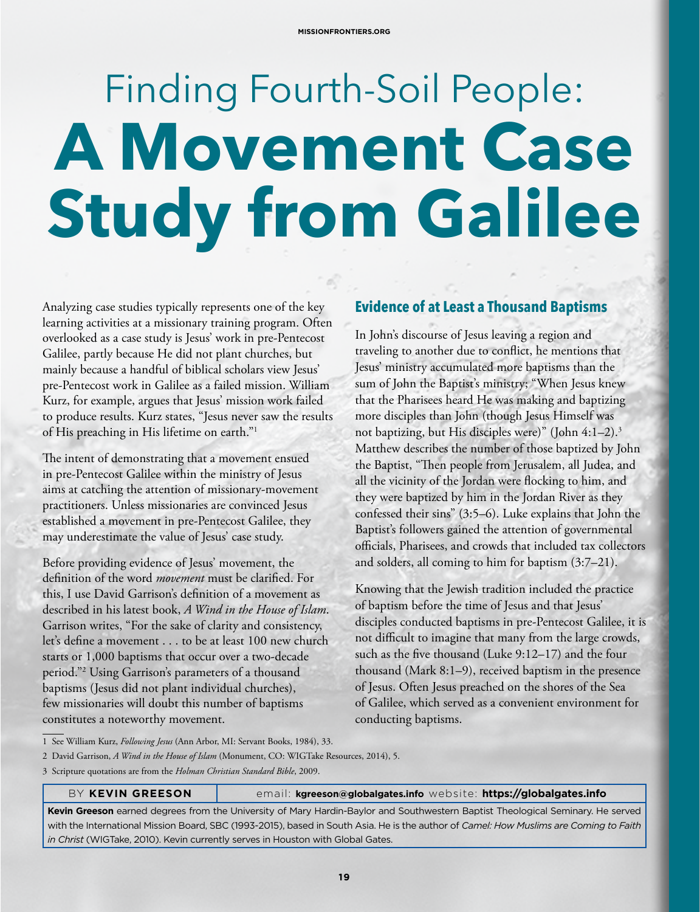# Finding Fourth-Soil People: **A Movement Case Study from Galilee**

Analyzing case studies typically represents one of the key learning activities at a missionary training program. Often overlooked as a case study is Jesus' work in pre-Pentecost Galilee, partly because He did not plant churches, but mainly because a handful of biblical scholars view Jesus' pre-Pentecost work in Galilee as a failed mission. William Kurz, for example, argues that Jesus' mission work failed to produce results. Kurz states, "Jesus never saw the results of His preaching in His lifetime on earth."1

The intent of demonstrating that a movement ensued in pre-Pentecost Galilee within the ministry of Jesus aims at catching the attention of missionary-movement practitioners. Unless missionaries are convinced Jesus established a movement in pre-Pentecost Galilee, they may underestimate the value of Jesus' case study.

Before providing evidence of Jesus' movement, the definition of the word *movement* must be clarified. For this, I use David Garrison's definition of a movement as described in his latest book, *A Wind in the House of Islam*. Garrison writes, "For the sake of clarity and consistency, let's define a movement . . . to be at least 100 new church starts or 1,000 baptisms that occur over a two-decade period."2 Using Garrison's parameters of a thousand baptisms (Jesus did not plant individual churches), few missionaries will doubt this number of baptisms constitutes a noteworthy movement.

### **Evidence of at Least a Thousand Baptisms**

In John's discourse of Jesus leaving a region and traveling to another due to conflict, he mentions that Jesus' ministry accumulated more baptisms than the sum of John the Baptist's ministry; "When Jesus knew that the Pharisees heard He was making and baptizing more disciples than John (though Jesus Himself was not baptizing, but His disciples were)" (John 4:1–2).3 Matthew describes the number of those baptized by John the Baptist, "Then people from Jerusalem, all Judea, and all the vicinity of the Jordan were flocking to him, and they were baptized by him in the Jordan River as they confessed their sins" (3:5–6). Luke explains that John the Baptist's followers gained the attention of governmental officials, Pharisees, and crowds that included tax collectors and solders, all coming to him for baptism (3:7–21).

Knowing that the Jewish tradition included the practice of baptism before the time of Jesus and that Jesus' disciples conducted baptisms in pre-Pentecost Galilee, it is not difficult to imagine that many from the large crowds, such as the five thousand (Luke 9:12–17) and the four thousand (Mark 8:1–9), received baptism in the presence of Jesus. Often Jesus preached on the shores of the Sea of Galilee, which served as a convenient environment for conducting baptisms.

1 See William Kurz, *Following Jesus* (Ann Arbor, MI: Servant Books, 1984), 33.

2 David Garrison, *A Wind in the House of Islam* (Monument, CO: WIGTake Resources, 2014), 5.

3 Scripture quotations are from the *Holman Christian Standard Bible*, 2009.

#### BY KEVIN GREESON **email: kgreeson@globalgates.info** website: https://globalgates.info

**Kevin Greeson** earned degrees from the University of Mary Hardin-Baylor and Southwestern Baptist Theological Seminary. He served with the International Mission Board, SBC (1993-2015), based in South Asia. He is the author of *Camel: How Muslims are Coming to Faith in Christ* (WIGTake, 2010). Kevin currently serves in Houston with Global Gates.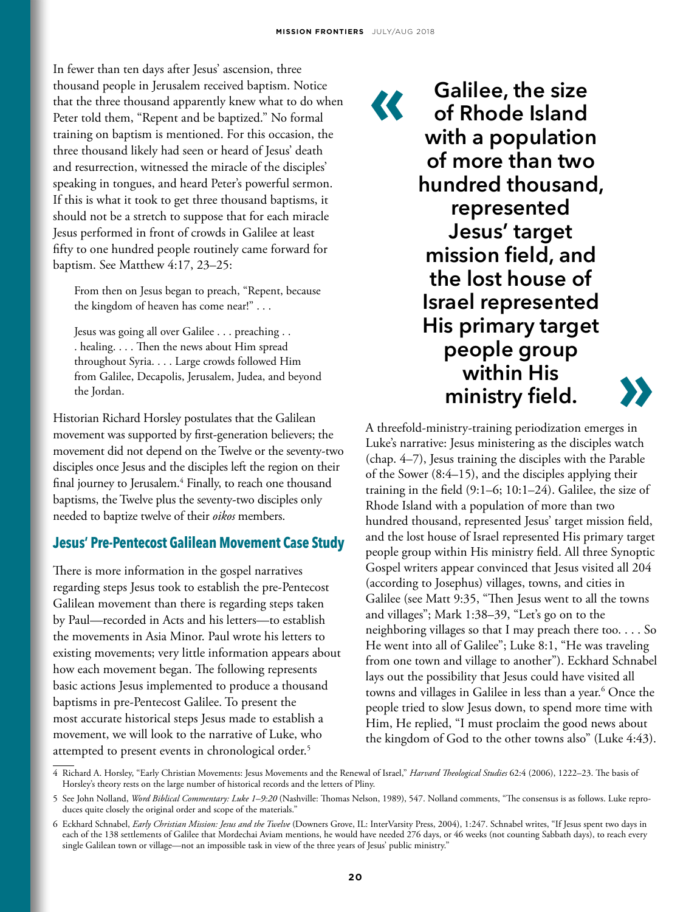In fewer than ten days after Jesus' ascension, three thousand people in Jerusalem received baptism. Notice that the three thousand apparently knew what to do when Peter told them, "Repent and be baptized." No formal training on baptism is mentioned. For this occasion, the three thousand likely had seen or heard of Jesus' death and resurrection, witnessed the miracle of the disciples' speaking in tongues, and heard Peter's powerful sermon. If this is what it took to get three thousand baptisms, it should not be a stretch to suppose that for each miracle Jesus performed in front of crowds in Galilee at least fifty to one hundred people routinely came forward for baptism. See Matthew 4:17, 23–25:

From then on Jesus began to preach, "Repent, because the kingdom of heaven has come near!" . . .

Jesus was going all over Galilee . . . preaching . . . healing. . . . Then the news about Him spread throughout Syria. . . . Large crowds followed Him from Galilee, Decapolis, Jerusalem, Judea, and beyond the Jordan.

Historian Richard Horsley postulates that the Galilean movement was supported by first-generation believers; the movement did not depend on the Twelve or the seventy-two disciples once Jesus and the disciples left the region on their final journey to Jerusalem.4 Finally, to reach one thousand baptisms, the Twelve plus the seventy-two disciples only needed to baptize twelve of their *oikos* members.

#### **Jesus' Pre-Pentecost Galilean Movement Case Study**

There is more information in the gospel narratives regarding steps Jesus took to establish the pre-Pentecost Galilean movement than there is regarding steps taken by Paul—recorded in Acts and his letters—to establish the movements in Asia Minor. Paul wrote his letters to existing movements; very little information appears about how each movement began. The following represents basic actions Jesus implemented to produce a thousand baptisms in pre-Pentecost Galilee. To present the most accurate historical steps Jesus made to establish a movement, we will look to the narrative of Luke, who attempted to present events in chronological order.<sup>5</sup>

**44 Galilee, the size<br>
of Rhode Island<br>
with a population of Rhode Island with a population of more than two hundred thousand, represented Jesus' target mission field, and the lost house of Israel represented His primary target people group within His ministry field. »**



A threefold-ministry-training periodization emerges in Luke's narrative: Jesus ministering as the disciples watch (chap. 4–7), Jesus training the disciples with the Parable of the Sower (8:4–15), and the disciples applying their training in the field (9:1–6; 10:1–24). Galilee, the size of Rhode Island with a population of more than two hundred thousand, represented Jesus' target mission field, and the lost house of Israel represented His primary target people group within His ministry field. All three Synoptic Gospel writers appear convinced that Jesus visited all 204 (according to Josephus) villages, towns, and cities in Galilee (see Matt 9:35, "Then Jesus went to all the towns and villages"; Mark 1:38–39, "Let's go on to the neighboring villages so that I may preach there too. . . . So He went into all of Galilee"; Luke 8:1, "He was traveling from one town and village to another"). Eckhard Schnabel lays out the possibility that Jesus could have visited all towns and villages in Galilee in less than a year.6 Once the people tried to slow Jesus down, to spend more time with Him, He replied, "I must proclaim the good news about the kingdom of God to the other towns also" (Luke 4:43).

<sup>4</sup> Richard A. Horsley, "Early Christian Movements: Jesus Movements and the Renewal of Israel," *Harvard Theological Studies* 62:4 (2006), 1222–23. The basis of Horsley's theory rests on the large number of historical records and the letters of Pliny.

<sup>5</sup> See John Nolland, *Word Biblical Commentary: Luke 1–9:20* (Nashville: Thomas Nelson, 1989), 547. Nolland comments, "The consensus is as follows. Luke reproduces quite closely the original order and scope of the materials."

<sup>6</sup> Eckhard Schnabel, *Early Christian Mission: Jesus and the Twelve* (Downers Grove, IL: InterVarsity Press, 2004), 1:247. Schnabel writes, "If Jesus spent two days in each of the 138 settlements of Galilee that Mordechai Aviam mentions, he would have needed 276 days, or 46 weeks (not counting Sabbath days), to reach every single Galilean town or village—not an impossible task in view of the three years of Jesus' public ministry."